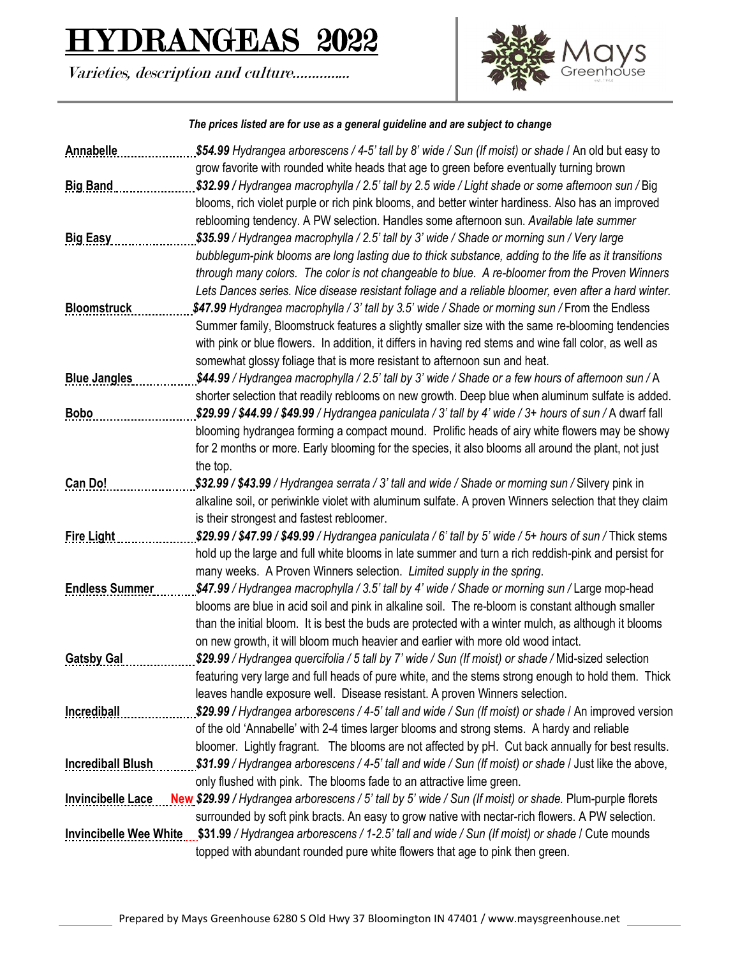## ${\rm RANGEAS}$  2022

Varieties, description and culture…………...



## *The prices listed are for use as a general guideline and are subject to change*

| Annabelle                     | \$54.99 Hydrangea arborescens / 4-5' tall by 8' wide / Sun (If moist) or shade / An old but easy to                                                                                      |
|-------------------------------|------------------------------------------------------------------------------------------------------------------------------------------------------------------------------------------|
|                               | grow favorite with rounded white heads that age to green before eventually turning brown                                                                                                 |
| <b>Big Band</b>               | \$32.99 / Hydrangea macrophylla / 2.5' tall by 2.5 wide / Light shade or some afternoon sun / Big                                                                                        |
|                               | blooms, rich violet purple or rich pink blooms, and better winter hardiness. Also has an improved                                                                                        |
|                               | reblooming tendency. A PW selection. Handles some afternoon sun. Available late summer                                                                                                   |
| <b>Big Easy</b>               | \$35.99 / Hydrangea macrophylla / 2.5' tall by 3' wide / Shade or morning sun / Very large                                                                                               |
|                               | bubblegum-pink blooms are long lasting due to thick substance, adding to the life as it transitions                                                                                      |
|                               | through many colors. The color is not changeable to blue. A re-bloomer from the Proven Winners                                                                                           |
|                               | Lets Dances series. Nice disease resistant foliage and a reliable bloomer, even after a hard winter.                                                                                     |
| <b>Bloomstruck</b>            | \$47.99 Hydrangea macrophylla / 3' tall by 3.5' wide / Shade or morning sun / From the Endless                                                                                           |
|                               | Summer family, Bloomstruck features a slightly smaller size with the same re-blooming tendencies                                                                                         |
|                               | with pink or blue flowers. In addition, it differs in having red stems and wine fall color, as well as                                                                                   |
|                               | somewhat glossy foliage that is more resistant to afternoon sun and heat.                                                                                                                |
| <b>Blue Jangles</b>           | \$44.99 / Hydrangea macrophylla / 2.5' tall by 3' wide / Shade or a few hours of afternoon sun / A                                                                                       |
|                               | shorter selection that readily reblooms on new growth. Deep blue when aluminum sulfate is added.                                                                                         |
| <b>Bobo</b>                   | \$29.99 / \$44.99 / \$49.99 / Hydrangea paniculata / 3' tall by 4' wide / 3+ hours of sun / A dwarf fall                                                                                 |
|                               | blooming hydrangea forming a compact mound. Prolific heads of airy white flowers may be showy                                                                                            |
|                               | for 2 months or more. Early blooming for the species, it also blooms all around the plant, not just                                                                                      |
|                               | the top.                                                                                                                                                                                 |
| Can Do!                       | \$32.99 / \$43.99 / Hydrangea serrata / 3' tall and wide / Shade or morning sun / Silvery pink in                                                                                        |
|                               | alkaline soil, or periwinkle violet with aluminum sulfate. A proven Winners selection that they claim                                                                                    |
|                               | is their strongest and fastest rebloomer.                                                                                                                                                |
| <b>Fire Light</b>             | \$29.99 / \$47.99 / \$49.99 / Hydrangea paniculata / 6' tall by 5' wide / 5+ hours of sun / Thick stems                                                                                  |
|                               | hold up the large and full white blooms in late summer and turn a rich reddish-pink and persist for                                                                                      |
|                               | many weeks. A Proven Winners selection. Limited supply in the spring.                                                                                                                    |
| <b>Endless Summer</b>         | \$47.99 / Hydrangea macrophylla / 3.5' tall by 4' wide / Shade or morning sun / Large mop-head                                                                                           |
|                               | blooms are blue in acid soil and pink in alkaline soil. The re-bloom is constant although smaller                                                                                        |
|                               | than the initial bloom. It is best the buds are protected with a winter mulch, as although it blooms<br>on new growth, it will bloom much heavier and earlier with more old wood intact. |
| <b>Gatsby Gal</b>             | \$29.99 / Hydrangea quercifolia / 5 tall by 7' wide / Sun (If moist) or shade / Mid-sized selection                                                                                      |
|                               | featuring very large and full heads of pure white, and the stems strong enough to hold them. Thick                                                                                       |
|                               | leaves handle exposure well. Disease resistant. A proven Winners selection.                                                                                                              |
| <b>Incrediball</b>            | \$29.99 / Hydrangea arborescens / 4-5' tall and wide / Sun (If moist) or shade / An improved version                                                                                     |
|                               | of the old 'Annabelle' with 2-4 times larger blooms and strong stems. A hardy and reliable                                                                                               |
|                               | bloomer. Lightly fragrant. The blooms are not affected by pH. Cut back annually for best results.                                                                                        |
| <b>Incrediball Blush</b>      | \$31.99 / Hydrangea arborescens / 4-5' tall and wide / Sun (If moist) or shade / Just like the above,                                                                                    |
|                               | only flushed with pink. The blooms fade to an attractive lime green.                                                                                                                     |
| <b>Invincibelle Lace</b>      | New \$29.99 / Hydrangea arborescens / 5' tall by 5' wide / Sun (If moist) or shade. Plum-purple florets                                                                                  |
|                               | surrounded by soft pink bracts. An easy to grow native with nectar-rich flowers. A PW selection.                                                                                         |
| <b>Invincibelle Wee White</b> | \$31.99 / Hydrangea arborescens / 1-2.5' tall and wide / Sun (If moist) or shade / Cute mounds                                                                                           |
|                               | topped with abundant rounded pure white flowers that age to pink then green.                                                                                                             |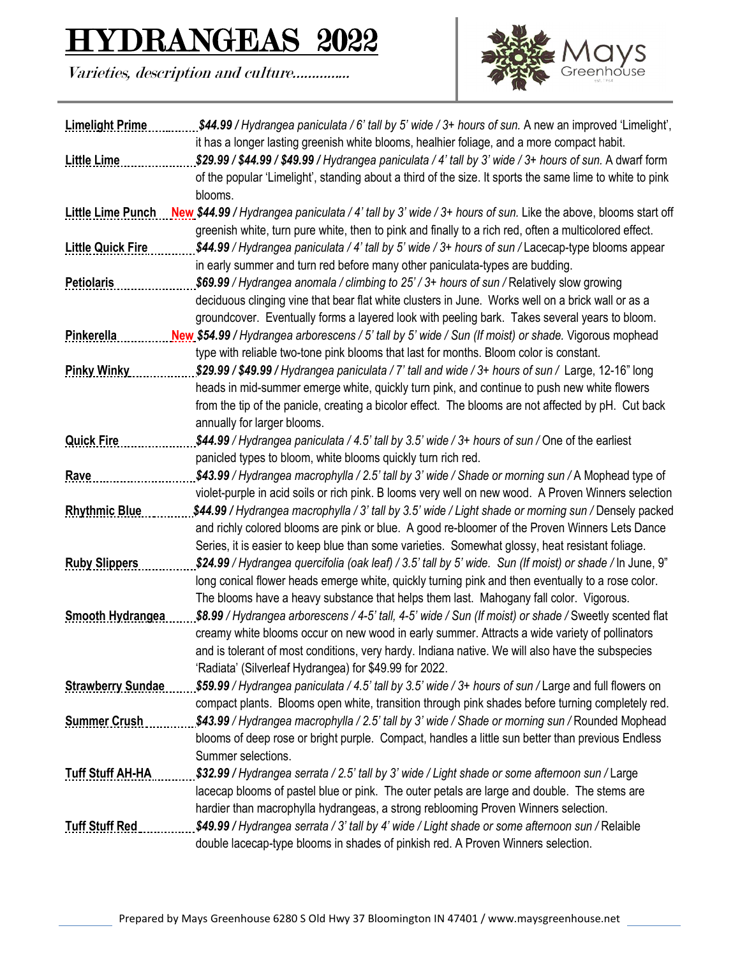## DRANGEAS 2022

Varieties, description and culture…………...



| <b>Limelight Prime</b>   | \$44.99 / Hydrangea paniculata / 6' tall by 5' wide / 3+ hours of sun. A new an improved 'Limelight',                         |
|--------------------------|-------------------------------------------------------------------------------------------------------------------------------|
|                          | it has a longer lasting greenish white blooms, healhier foliage, and a more compact habit.                                    |
| <b>Little Lime</b>       | \$29.99 / \$44.99 / \$49.99 / Hydrangea paniculata / 4' tall by 3' wide / 3+ hours of sun. A dwarf form                       |
|                          | of the popular 'Limelight', standing about a third of the size. It sports the same lime to white to pink                      |
|                          | blooms.                                                                                                                       |
|                          | Little Lime Punch New \$44.99 / Hydrangea paniculata / 4' tall by 3' wide / 3+ hours of sun. Like the above, blooms start off |
|                          | greenish white, turn pure white, then to pink and finally to a rich red, often a multicolored effect.                         |
| <b>Little Quick Fire</b> | \$44.99 / Hydrangea paniculata / 4' tall by 5' wide / 3+ hours of sun / Lacecap-type blooms appear                            |
|                          | in early summer and turn red before many other paniculata-types are budding.                                                  |
| <b>Petiolaris</b>        | \$69.99 / Hydrangea anomala / climbing to 25' / 3+ hours of sun / Relatively slow growing                                     |
|                          | deciduous clinging vine that bear flat white clusters in June. Works well on a brick wall or as a                             |
|                          | groundcover. Eventually forms a layered look with peeling bark. Takes several years to bloom.                                 |
| Pinkerella               | New \$54.99 / Hydrangea arborescens / 5' tall by 5' wide / Sun (If moist) or shade. Vigorous mophead                          |
|                          | type with reliable two-tone pink blooms that last for months. Bloom color is constant.                                        |
| <b>Pinky Winky</b>       | \$29.99 / \$49.99 / Hydrangea paniculata / 7' tall and wide / 3+ hours of sun / Large, 12-16" long                            |
|                          | heads in mid-summer emerge white, quickly turn pink, and continue to push new white flowers                                   |
|                          | from the tip of the panicle, creating a bicolor effect. The blooms are not affected by pH. Cut back                           |
|                          | annually for larger blooms.                                                                                                   |
| <b>Quick Fire</b>        | \$44.99 / Hydrangea paniculata / 4.5' tall by 3.5' wide / 3+ hours of sun / One of the earliest                               |
|                          | panicled types to bloom, white blooms quickly turn rich red.                                                                  |
| Rave                     | \$43.99 / Hydrangea macrophylla / 2.5' tall by 3' wide / Shade or morning sun / A Mophead type of                             |
|                          | violet-purple in acid soils or rich pink. B looms very well on new wood. A Proven Winners selection                           |
| <b>Rhythmic Blue</b>     | \$44.99 / Hydrangea macrophylla / 3' tall by 3.5' wide / Light shade or morning sun / Densely packed                          |
|                          | and richly colored blooms are pink or blue. A good re-bloomer of the Proven Winners Lets Dance                                |
|                          | Series, it is easier to keep blue than some varieties. Somewhat glossy, heat resistant foliage.                               |
| <b>Ruby Slippers</b>     | \$24.99 / Hydrangea quercifolia (oak leaf) / 3.5' tall by 5' wide. Sun (If moist) or shade / In June, 9"                      |
|                          | long conical flower heads emerge white, quickly turning pink and then eventually to a rose color.                             |
|                          | The blooms have a heavy substance that helps them last. Mahogany fall color. Vigorous.                                        |
| <b>Smooth Hydrangea</b>  | \$8.99 / Hydrangea arborescens / 4-5' tall, 4-5' wide / Sun (If moist) or shade / Sweetly scented flat                        |
|                          | creamy white blooms occur on new wood in early summer. Attracts a wide variety of pollinators                                 |
|                          | and is tolerant of most conditions, very hardy. Indiana native. We will also have the subspecies                              |
|                          | 'Radiata' (Silverleaf Hydrangea) for \$49.99 for 2022.                                                                        |
| <b>Strawberry Sundae</b> | \$59.99 / Hydrangea paniculata / 4.5' tall by 3.5' wide / 3+ hours of sun / Large and full flowers on                         |
|                          | compact plants. Blooms open white, transition through pink shades before turning completely red.                              |
| <b>Summer Crush</b>      | \$43.99 / Hydrangea macrophylla / 2.5' tall by 3' wide / Shade or morning sun / Rounded Mophead                               |
|                          | blooms of deep rose or bright purple. Compact, handles a little sun better than previous Endless                              |
|                          | Summer selections.                                                                                                            |
| <b>Tuff Stuff AH-HA</b>  | \$32.99 / Hydrangea serrata / 2.5' tall by 3' wide / Light shade or some afternoon sun / Large                                |
|                          | lacecap blooms of pastel blue or pink. The outer petals are large and double. The stems are                                   |
|                          | hardier than macrophylla hydrangeas, a strong reblooming Proven Winners selection.                                            |
| <b>Tuff Stuff Red</b>    | \$49.99 / Hydrangea serrata / 3' tall by 4' wide / Light shade or some afternoon sun / Relaible                               |
|                          | double lacecap-type blooms in shades of pinkish red. A Proven Winners selection.                                              |